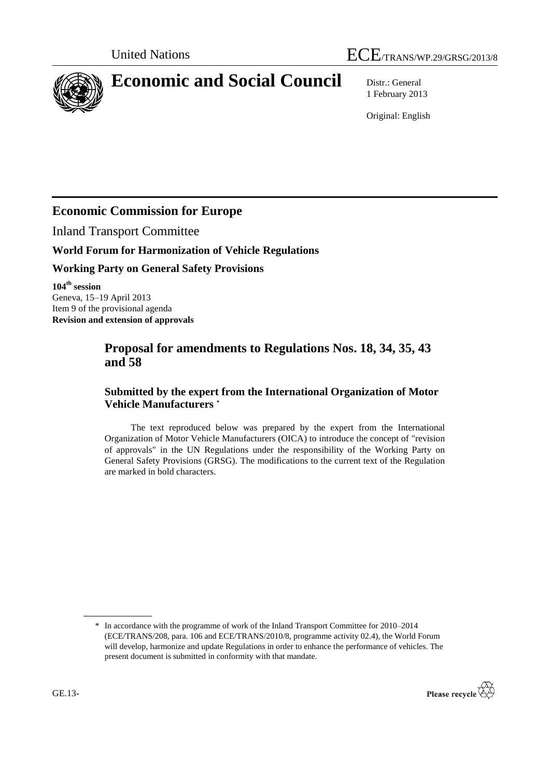

# **Economic and Social Council** Distr.: General

1 February 2013

Original: English

# **Economic Commission for Europe**

Inland Transport Committee

# **World Forum for Harmonization of Vehicle Regulations**

# **Working Party on General Safety Provisions**

**104 th session** Geneva, 15–19 April 2013 Item 9 of the provisional agenda **Revision and extension of approvals**

# **Proposal for amendments to Regulations Nos. 18, 34, 35, 43 and 58**

# **Submitted by the expert from the International Organization of Motor Vehicle Manufacturers \***

The text reproduced below was prepared by the expert from the International Organization of Motor Vehicle Manufacturers (OICA) to introduce the concept of "revision of approvals" in the UN Regulations under the responsibility of the Working Party on General Safety Provisions (GRSG). The modifications to the current text of the Regulation are marked in bold characters.

<sup>\*</sup> In accordance with the programme of work of the Inland Transport Committee for 2010–2014 (ECE/TRANS/208, para. 106 and ECE/TRANS/2010/8, programme activity 02.4), the World Forum will develop, harmonize and update Regulations in order to enhance the performance of vehicles. The present document is submitted in conformity with that mandate.

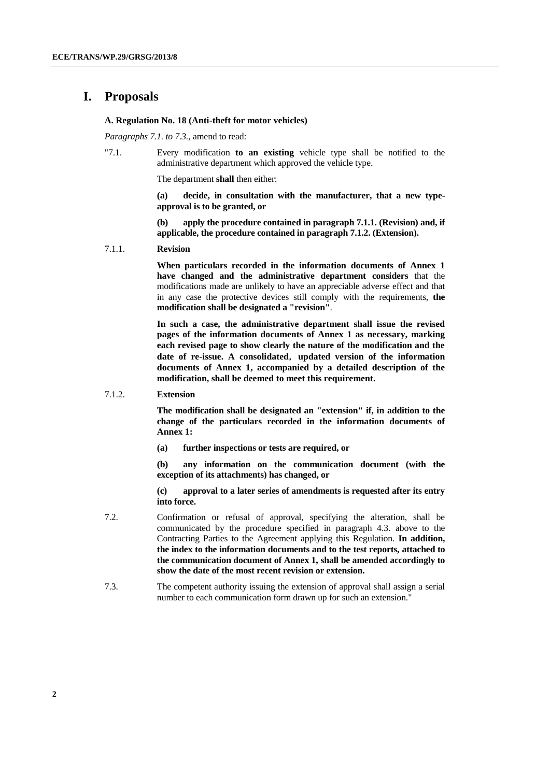## **I. Proposals**

#### **A. Regulation No. 18 (Anti-theft for motor vehicles)**

*Paragraphs 7.1. to 7.3.,* amend to read:

"7.1. Every modification **to an existing** vehicle type shall be notified to the administrative department which approved the vehicle type.

The department **shall** then either:

**(a) decide, in consultation with the manufacturer, that a new typeapproval is to be granted, or**

**(b) apply the procedure contained in paragraph 7.1.1. (Revision) and, if applicable, the procedure contained in paragraph 7.1.2. (Extension).**

7.1.1. **Revision**

**When particulars recorded in the information documents of Annex 1 have changed and the administrative department considers** that the modifications made are unlikely to have an appreciable adverse effect and that in any case the protective devices still comply with the requirements, **the modification shall be designated a "revision"**.

**In such a case, the administrative department shall issue the revised pages of the information documents of Annex 1 as necessary, marking each revised page to show clearly the nature of the modification and the date of re-issue. A consolidated**,**updated version of the information documents of Annex 1, accompanied by a detailed description of the modification, shall be deemed to meet this requirement.**

#### 7.1.2. **Extension**

**The modification shall be designated an "extension" if, in addition to the change of the particulars recorded in the information documents of Annex 1:**

**(a) further inspections or tests are required, or**

**(b) any information on the communication document (with the exception of its attachments) has changed, or**

- 7.2. Confirmation or refusal of approval, specifying the alteration, shall be communicated by the procedure specified in paragraph 4.3. above to the Contracting Parties to the Agreement applying this Regulation. **In addition, the index to the information documents and to the test reports, attached to the communication document of Annex 1, shall be amended accordingly to show the date of the most recent revision or extension.**
- 7.3. The competent authority issuing the extension of approval shall assign a serial number to each communication form drawn up for such an extension."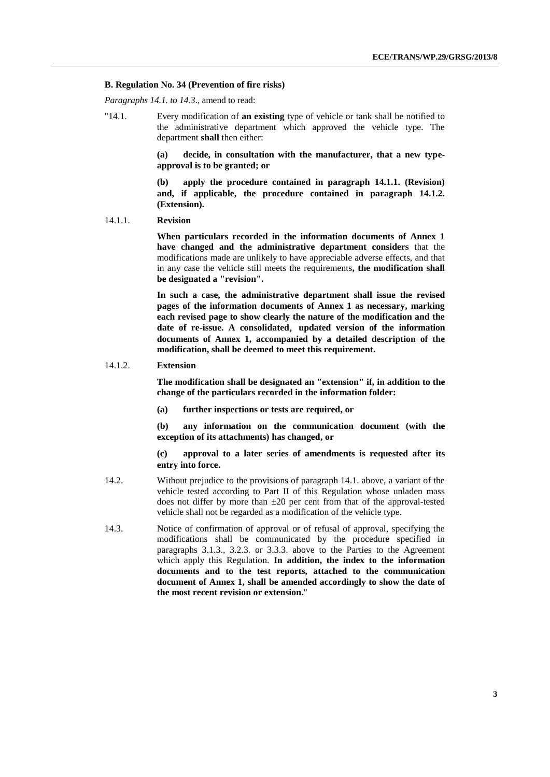#### **B. Regulation No. 34 (Prevention of fire risks)**

*Paragraphs 14.1. to 14.3*., amend to read:

"14.1. Every modification of **an existing** type of vehicle or tank shall be notified to the administrative department which approved the vehicle type. The department **shall** then either:

> **(a) decide, in consultation with the manufacturer, that a new typeapproval is to be granted; or**

> **(b) apply the procedure contained in paragraph 14.1.1. (Revision) and, if applicable, the procedure contained in paragraph 14.1.2. (Extension).**

#### 14.1.1. **Revision**

**When particulars recorded in the information documents of Annex 1 have changed and the administrative department considers** that the modifications made are unlikely to have appreciable adverse effects, and that in any case the vehicle still meets the requirements**, the modification shall be designated a "revision".**

**In such a case, the administrative department shall issue the revised pages of the information documents of Annex 1 as necessary, marking each revised page to show clearly the nature of the modification and the date of re-issue. A consolidated**,**updated version of the information documents of Annex 1, accompanied by a detailed description of the modification, shall be deemed to meet this requirement.**

#### 14.1.2. **Extension**

**The modification shall be designated an "extension" if, in addition to the change of the particulars recorded in the information folder:**

**(a) further inspections or tests are required, or**

**(b) any information on the communication document (with the exception of its attachments) has changed, or**

- 14.2. Without prejudice to the provisions of paragraph 14.1. above, a variant of the vehicle tested according to Part II of this Regulation whose unladen mass does not differ by more than  $\pm 20$  per cent from that of the approval-tested vehicle shall not be regarded as a modification of the vehicle type.
- 14.3. Notice of confirmation of approval or of refusal of approval, specifying the modifications shall be communicated by the procedure specified in paragraphs 3.1.3., 3.2.3. or 3.3.3. above to the Parties to the Agreement which apply this Regulation. **In addition, the index to the information documents and to the test reports, attached to the communication document of Annex 1, shall be amended accordingly to show the date of the most recent revision or extension.**"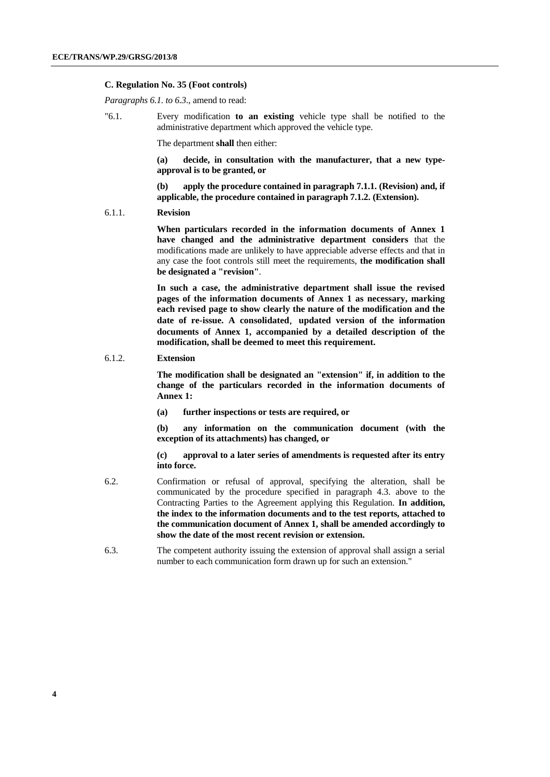#### **C. Regulation No. 35 (Foot controls)**

*Paragraphs 6.1. to 6.3*., amend to read:

"6.1. Every modification **to an existing** vehicle type shall be notified to the administrative department which approved the vehicle type.

The department **shall** then either:

**(a) decide, in consultation with the manufacturer, that a new typeapproval is to be granted, or**

**(b) apply the procedure contained in paragraph 7.1.1. (Revision) and, if applicable, the procedure contained in paragraph 7.1.2. (Extension).**

6.1.1. **Revision**

**When particulars recorded in the information documents of Annex 1 have changed and the administrative department considers** that the modifications made are unlikely to have appreciable adverse effects and that in any case the foot controls still meet the requirements, **the modification shall be designated a "revision"**.

**In such a case, the administrative department shall issue the revised pages of the information documents of Annex 1 as necessary, marking each revised page to show clearly the nature of the modification and the date of re-issue. A consolidated**,**updated version of the information documents of Annex 1, accompanied by a detailed description of the modification, shall be deemed to meet this requirement.**

#### 6.1.2. **Extension**

**The modification shall be designated an "extension" if, in addition to the change of the particulars recorded in the information documents of Annex 1:**

**(a) further inspections or tests are required, or**

**(b) any information on the communication document (with the exception of its attachments) has changed, or**

- 6.2. Confirmation or refusal of approval, specifying the alteration, shall be communicated by the procedure specified in paragraph 4.3. above to the Contracting Parties to the Agreement applying this Regulation. **In addition, the index to the information documents and to the test reports, attached to the communication document of Annex 1, shall be amended accordingly to show the date of the most recent revision or extension.**
- 6.3. The competent authority issuing the extension of approval shall assign a serial number to each communication form drawn up for such an extension."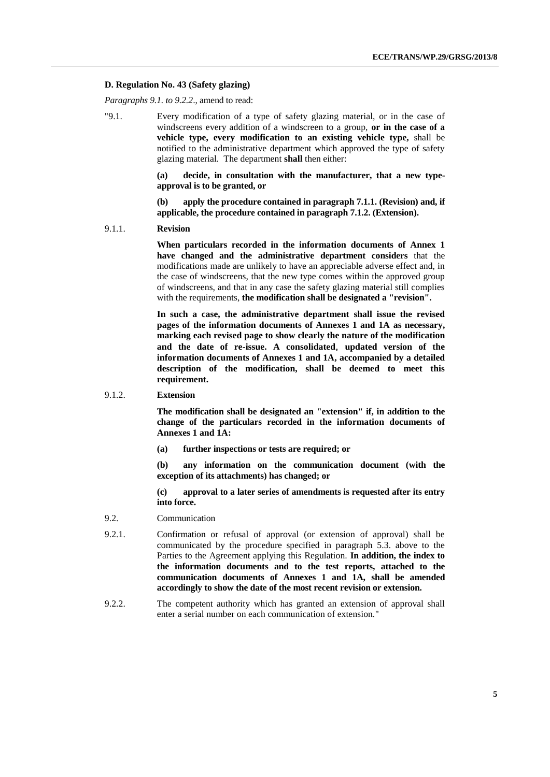#### **D. Regulation No. 43 (Safety glazing)**

*Paragraphs 9.1. to 9.2.2*., amend to read:

"9.1. Every modification of a type of safety glazing material, or in the case of windscreens every addition of a windscreen to a group, **or in the case of a vehicle type, every modification to an existing vehicle type,** shall be notified to the administrative department which approved the type of safety glazing material. The department **shall** then either:

> **(a) decide, in consultation with the manufacturer, that a new typeapproval is to be granted, or**

> **(b) apply the procedure contained in paragraph 7.1.1. (Revision) and, if applicable, the procedure contained in paragraph 7.1.2. (Extension).**

#### 9.1.1. **Revision**

**When particulars recorded in the information documents of Annex 1 have changed and the administrative department considers** that the modifications made are unlikely to have an appreciable adverse effect and, in the case of windscreens, that the new type comes within the approved group of windscreens, and that in any case the safety glazing material still complies with the requirements, **the modification shall be designated a "revision".**

**In such a case, the administrative department shall issue the revised pages of the information documents of Annexes 1 and 1A as necessary, marking each revised page to show clearly the nature of the modification and the date of re-issue. A consolidated**,**updated version of the information documents of Annexes 1 and 1A, accompanied by a detailed description of the modification, shall be deemed to meet this requirement.**

#### 9.1.2. **Extension**

**The modification shall be designated an "extension" if, in addition to the change of the particulars recorded in the information documents of Annexes 1 and 1A:**

**(a) further inspections or tests are required; or**

**(b) any information on the communication document (with the exception of its attachments) has changed; or**

- 9.2. Communication
- 9.2.1. Confirmation or refusal of approval (or extension of approval) shall be communicated by the procedure specified in paragraph 5.3. above to the Parties to the Agreement applying this Regulation. **In addition, the index to the information documents and to the test reports, attached to the communication documents of Annexes 1 and 1A, shall be amended accordingly to show the date of the most recent revision or extension.**
- 9.2.2. The competent authority which has granted an extension of approval shall enter a serial number on each communication of extension."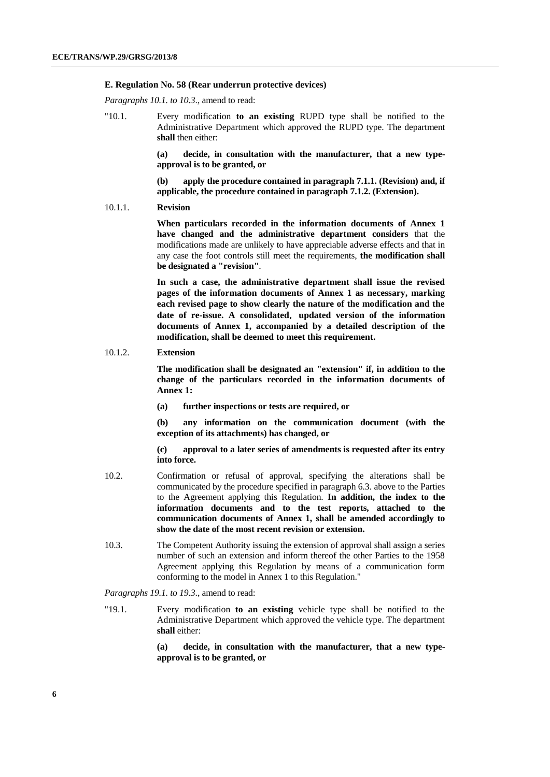#### **E. Regulation No. 58 (Rear underrun protective devices)**

*Paragraphs 10.1. to 10.3*., amend to read:

"10.1. Every modification **to an existing** RUPD type shall be notified to the Administrative Department which approved the RUPD type. The department **shall** then either:

> **(a) decide, in consultation with the manufacturer, that a new typeapproval is to be granted, or**

> **(b) apply the procedure contained in paragraph 7.1.1. (Revision) and, if applicable, the procedure contained in paragraph 7.1.2. (Extension).**

10.1.1. **Revision**

**When particulars recorded in the information documents of Annex 1 have changed and the administrative department considers** that the modifications made are unlikely to have appreciable adverse effects and that in any case the foot controls still meet the requirements, **the modification shall be designated a "revision"**.

**In such a case, the administrative department shall issue the revised pages of the information documents of Annex 1 as necessary, marking each revised page to show clearly the nature of the modification and the date of re-issue. A consolidated**,**updated version of the information documents of Annex 1, accompanied by a detailed description of the modification, shall be deemed to meet this requirement.**

#### 10.1.2. **Extension**

**The modification shall be designated an "extension" if, in addition to the change of the particulars recorded in the information documents of Annex 1:**

**(a) further inspections or tests are required, or**

**(b) any information on the communication document (with the exception of its attachments) has changed, or**

**(c) approval to a later series of amendments is requested after its entry into force.**

- 10.2. Confirmation or refusal of approval, specifying the alterations shall be communicated by the procedure specified in paragraph 6.3. above to the Parties to the Agreement applying this Regulation. **In addition, the index to the information documents and to the test reports, attached to the communication documents of Annex 1, shall be amended accordingly to show the date of the most recent revision or extension.**
- 10.3. The Competent Authority issuing the extension of approval shall assign a series number of such an extension and inform thereof the other Parties to the 1958 Agreement applying this Regulation by means of a communication form conforming to the model in Annex 1 to this Regulation."

#### *Paragraphs 19.1. to 19.3*., amend to read:

"19.1. Every modification **to an existing** vehicle type shall be notified to the Administrative Department which approved the vehicle type. The department **shall** either:

> **(a) decide, in consultation with the manufacturer, that a new typeapproval is to be granted, or**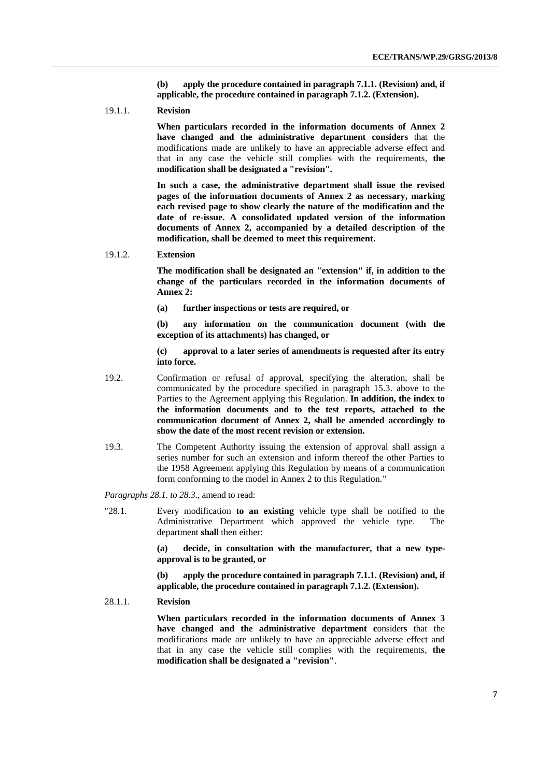**(b) apply the procedure contained in paragraph 7.1.1. (Revision) and, if applicable, the procedure contained in paragraph 7.1.2. (Extension).**

19.1.1. **Revision**

**When particulars recorded in the information documents of Annex 2 have changed and the administrative department considers** that the modifications made are unlikely to have an appreciable adverse effect and that in any case the vehicle still complies with the requirements, **the modification shall be designated a "revision".**

**In such a case, the administrative department shall issue the revised pages of the information documents of Annex 2 as necessary, marking each revised page to show clearly the nature of the modification and the date of re-issue. A consolidated updated version of the information documents of Annex 2, accompanied by a detailed description of the modification, shall be deemed to meet this requirement.**

19.1.2. **Extension**

**The modification shall be designated an "extension" if, in addition to the change of the particulars recorded in the information documents of Annex 2:**

**(a) further inspections or tests are required, or**

**(b) any information on the communication document (with the exception of its attachments) has changed, or**

**(c) approval to a later series of amendments is requested after its entry into force.**

- 19.2. Confirmation or refusal of approval, specifying the alteration, shall be communicated by the procedure specified in paragraph 15.3. above to the Parties to the Agreement applying this Regulation. **In addition, the index to the information documents and to the test reports, attached to the communication document of Annex 2, shall be amended accordingly to show the date of the most recent revision or extension.**
- 19.3. The Competent Authority issuing the extension of approval shall assign a series number for such an extension and inform thereof the other Parties to the 1958 Agreement applying this Regulation by means of a communication form conforming to the model in Annex 2 to this Regulation."

*Paragraphs 28.1. to 28.3*., amend to read:

"28.1. Every modification **to an existing** vehicle type shall be notified to the Administrative Department which approved the vehicle type. The department **shall** then either:

> **(a) decide, in consultation with the manufacturer, that a new typeapproval is to be granted, or**

> **(b) apply the procedure contained in paragraph 7.1.1. (Revision) and, if applicable, the procedure contained in paragraph 7.1.2. (Extension).**

28.1.1. **Revision**

**When particulars recorded in the information documents of Annex 3 have changed and the administrative department c**onsider**s** that the modifications made are unlikely to have an appreciable adverse effect and that in any case the vehicle still complies with the requirements, **the modification shall be designated a "revision"**.